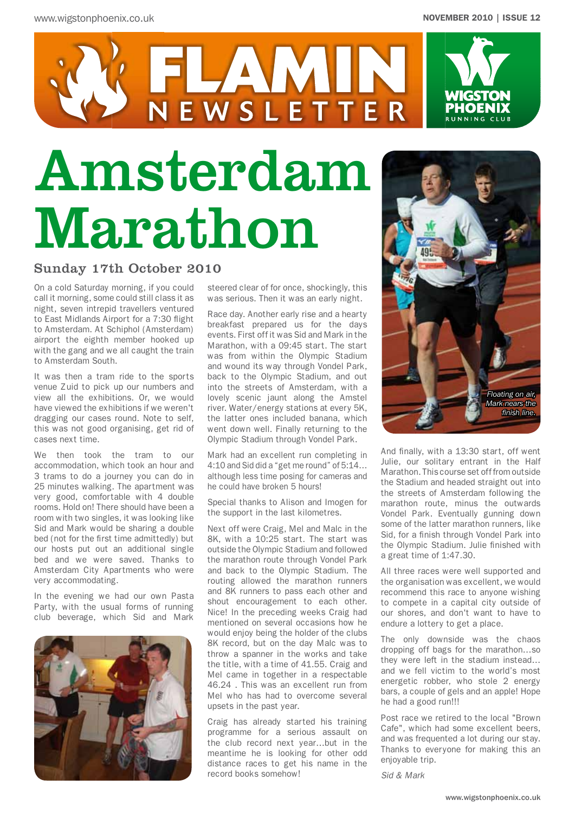

# Amsterdam Marathon

#### Sunday 17th October 2010

On a cold Saturday morning, if you could call it morning, some could still class it as night, seven intrepid travellers ventured to East Midlands Airport for a 7:30 flight to Amsterdam. At Schiphol (Amsterdam) airport the eighth member hooked up with the gang and we all caught the train to Amsterdam South.

It was then a tram ride to the sports venue Zuid to pick up our numbers and view all the exhibitions. Or, we would have viewed the exhibitions if we weren't dragging our cases round. Note to self, this was not good organising, get rid of cases next time.

We then took the tram to our accommodation, which took an hour and 3 trams to do a journey you can do in 25 minutes walking. The apartment was very good, comfortable with 4 double rooms. Hold on! There should have been a room with two singles, it was looking like Sid and Mark would be sharing a double bed (not for the first time admittedly) but our hosts put out an additional single bed and we were saved. Thanks to Amsterdam City Apartments who were very accommodating.

In the evening we had our own Pasta Party, with the usual forms of running club beverage, which Sid and Mark



steered clear of for once, shockingly, this was serious. Then it was an early night.

NEWSLETTER

Race day. Another early rise and a hearty breakfast prepared us for the days events. First off it was Sid and Mark in the Marathon, with a 09:45 start. The start was from within the Olympic Stadium and wound its way through Vondel Park, back to the Olympic Stadium, and out into the streets of Amsterdam, with a lovely scenic jaunt along the Amstel river. Water/energy stations at every 5K, the latter ones included banana, which went down well. Finally returning to the Olympic Stadium through Vondel Park.

Mark had an excellent run completing in 4:10 and Sid did a "get me round" of 5:14… although less time posing for cameras and he could have broken 5 hours!

Special thanks to Alison and Imogen for the support in the last kilometres.

Next off were Craig, Mel and Malc in the 8K, with a 10:25 start. The start was outside the Olympic Stadium and followed the marathon route through Vondel Park and back to the Olympic Stadium. The routing allowed the marathon runners and 8K runners to pass each other and shout encouragement to each other. Nice! In the preceding weeks Craig had mentioned on several occasions how he would enjoy being the holder of the clubs 8K record, but on the day Malc was to throw a spanner in the works and take the title, with a time of 41.55. Craig and Mel came in together in a respectable 46.24 . This was an excellent run from Mel who has had to overcome several upsets in the past year.

Craig has already started his training programme for a serious assault on the club record next year…but in the meantime he is looking for other odd distance races to get his name in the record books somehow!



And finally, with a 13:30 start, off went Julie, our solitary entrant in the Half Marathon. This course set off from outside the Stadium and headed straight out into the streets of Amsterdam following the marathon route, minus the outwards Vondel Park. Eventually gunning down some of the latter marathon runners, like Sid, for a finish through Vondel Park into the Olympic Stadium. Julie finished with a great time of 1:47.30.

All three races were well supported and the organisation was excellent, we would recommend this race to anyone wishing to compete in a capital city outside of our shores, and don't want to have to endure a lottery to get a place.

The only downside was the chaos dropping off bags for the marathon…so they were left in the stadium instead… and we fell victim to the world's most energetic robber, who stole 2 energy bars, a couple of gels and an apple! Hope he had a good run!!!

Post race we retired to the local "Brown Cafe", which had some excellent beers, and was frequented a lot during our stay. Thanks to everyone for making this an enjoyable trip.

*Sid & Mark*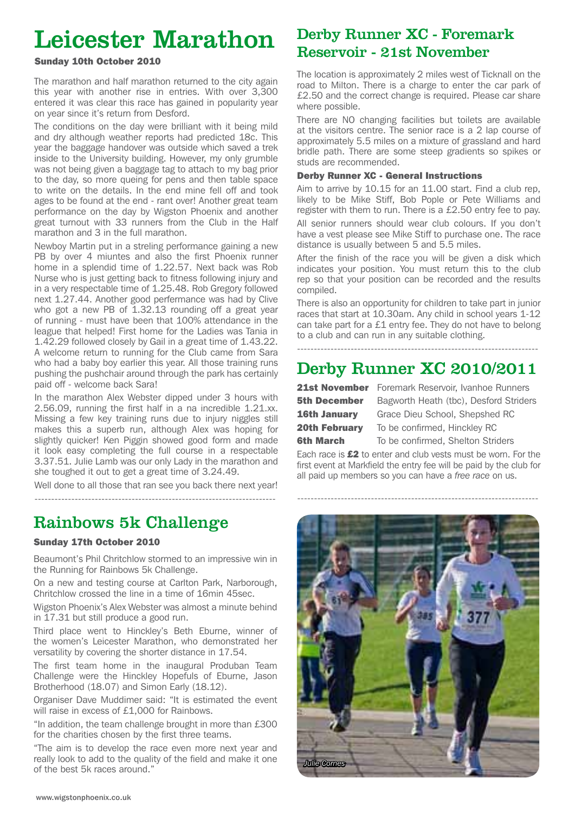# Leicester Marathon Derby Runner XC - Foreman Reservoir - 21st November

#### Sunday 10th October 2010

The marathon and half marathon returned to the city again this year with another rise in entries. With over 3,300 entered it was clear this race has gained in popularity year on year since it's return from Desford.

The conditions on the day were brilliant with it being mild and dry although weather reports had predicted 18c. This year the baggage handover was outside which saved a trek inside to the University building. However, my only grumble was not being given a baggage tag to attach to my bag prior to the day, so more queing for pens and then table space to write on the details. In the end mine fell off and took ages to be found at the end - rant over! Another great team performance on the day by Wigston Phoenix and another great turnout with 33 runners from the Club in the Half marathon and 3 in the full marathon.

Newboy Martin put in a streling performance gaining a new PB by over 4 miuntes and also the first Phoenix runner home in a splendid time of 1.22.57. Next back was Rob Nurse who is just getting back to fitness following injury and in a very respectable time of 1.25.48. Rob Gregory followed next 1.27.44. Another good perfermance was had by Clive who got a new PB of 1.32.13 rounding off a great year of running - must have been that 100% attendance in the league that helped! First home for the Ladies was Tania in 1.42.29 followed closely by Gail in a great time of 1.43.22. A welcome return to running for the Club came from Sara who had a baby boy earlier this year. All those training runs pushing the pushchair around through the park has certainly paid off - welcome back Sara!

In the marathon Alex Webster dipped under 3 hours with 2.56.09, running the first half in a na incredible 1.21.xx. Missing a few key training runs due to injury niggles still makes this a superb run, although Alex was hoping for slightly quicker! Ken Piggin showed good form and made it look easy completing the full course in a respectable 3.37.51. Julie Lamb was our only Lady in the marathon and she toughed it out to get a great time of 3.24.49.

Well done to all those that ran see you back there next year! ------------------------------------------------------------------------

# Rainbows 5k Challenge

#### Sunday 17th October 2010

Beaumont's Phil Chritchlow stormed to an impressive win in the Running for Rainbows 5k Challenge.

On a new and testing course at Carlton Park, Narborough, Chritchlow crossed the line in a time of 16min 45sec.

Wigston Phoenix's Alex Webster was almost a minute behind in 17.31 but still produce a good run.

Third place went to Hinckley's Beth Eburne, winner of the women's Leicester Marathon, who demonstrated her versatility by covering the shorter distance in 17.54.

The first team home in the inaugural Produban Team Challenge were the Hinckley Hopefuls of Eburne, Jason Brotherhood (18.07) and Simon Early (18.12).

Organiser Dave Muddimer said: "It is estimated the event will raise in excess of £1,000 for Rainbows.

"In addition, the team challenge brought in more than £300 for the charities chosen by the first three teams.

"The aim is to develop the race even more next year and really look to add to the quality of the field and make it one of the best 5k races around."

# Derby Runner XC - Foremark

The location is approximately 2 miles west of Ticknall on the road to Milton. There is a charge to enter the car park of £2.50 and the correct change is required. Please car share where possible.

There are NO changing facilities but toilets are available at the visitors centre. The senior race is a 2 lap course of approximately 5.5 miles on a mixture of grassland and hard bridle path. There are some steep gradients so spikes or studs are recommended.

#### Derby Runner XC - General Instructions

Aim to arrive by 10.15 for an 11.00 start. Find a club rep, likely to be Mike Stiff, Bob Pople or Pete Williams and register with them to run. There is a £2.50 entry fee to pay. All senior runners should wear club colours. If you don't have a vest please see Mike Stiff to purchase one. The race distance is usually between 5 and 5.5 miles.

After the finish of the race you will be given a disk which indicates your position. You must return this to the club rep so that your position can be recorded and the results compiled.

There is also an opportunity for children to take part in junior races that start at 10.30am. Any child in school years 1-12 can take part for a £1 entry fee. They do not have to belong to a club and can run in any suitable clothing.

### ------------------------------------------------------------------------

## Derby Runner XC 2010/2011

| <b>21st November</b> |
|----------------------|
| <b>5th December</b>  |
| <b>16th January</b>  |
| <b>20th February</b> |
| <b>6th March</b>     |

Foremark Reservoir, Ivanhoe Runners Bagworth Heath (tbc), Desford Striders Grace Dieu School, Shepshed RC To be confirmed, Hinckley RC To be confirmed, Shelton Striders

Each race is  $£2$  to enter and club vests must be worn. For the first event at Markfield the entry fee will be paid by the club for all paid up members so you can have a *free race* on us.

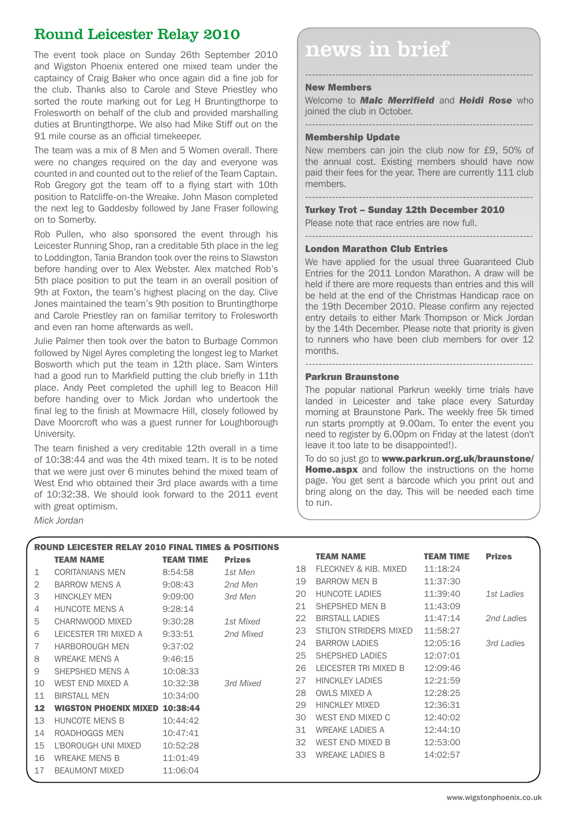### Round Leicester Relay 2010

and Wigston Phoenix entered one mixed team under the captaincy of Craig Baker who once again did a fine job for the club. Thanks also to Carole and Steve Priestley who sorted the route marking out for Leg H Bruntingthorpe to Frolesworth on behalf of the club and provided marshalling duties at Bruntingthorpe. We also had Mike Stiff out on the 91 mile course as an official timekeeper.

The team was a mix of 8 Men and 5 Women overall. There were no changes required on the day and everyone was counted in and counted out to the relief of the Team Captain. Rob Gregory got the team off to a flying start with 10th position to Ratcliffe-on-the Wreake. John Mason completed the next leg to Gaddesby followed by Jane Fraser following on to Somerby.

Rob Pullen, who also sponsored the event through his Leicester Running Shop, ran a creditable 5th place in the leg to Loddington. Tania Brandon took over the reins to Slawston before handing over to Alex Webster. Alex matched Rob's 5th place position to put the team in an overall position of 9th at Foxton, the team's highest placing on the day. Clive Jones maintained the team's 9th position to Bruntingthorpe and Carole Priestley ran on familiar territory to Frolesworth and even ran home afterwards as well.

Julie Palmer then took over the baton to Burbage Common followed by Nigel Ayres completing the longest leg to Market Bosworth which put the team in 12th place. Sam Winters had a good run to Markfield putting the club briefly in 11th place. Andy Peet completed the uphill leg to Beacon Hill before handing over to Mick Jordan who undertook the final leg to the finish at Mowmacre Hill, closely followed by Dave Moorcroft who was a guest runner for Loughborough University.

The team finished a very creditable 12th overall in a time of 10:38:44 and was the 4th mixed team. It is to be noted that we were just over 6 minutes behind the mixed team of West End who obtained their 3rd place awards with a time of 10:32:38. We should look forward to the 2011 event with great optimism.

#### *Mick Jordan*

# The event took place on Sunday 26th September 2010  $\blacksquare$  news in brief

#### New Members

Welcome to *Malc Merrifield* and *Heidi Rose* who joined the club in October.

--------------------------------------------------------------------

--------------------------------------------------------------------

#### Membership Update

New members can join the club now for £9, 50% of the annual cost. Existing members should have now paid their fees for the year. There are currently 111 club members.

#### --------------------------------------------------------------------

--------------------------------------------------------------------

#### Turkey Trot – Sunday 12th December 2010

Please note that race entries are now full.

#### London Marathon Club Entries

We have applied for the usual three Guaranteed Club Entries for the 2011 London Marathon. A draw will be held if there are more requests than entries and this will be held at the end of the Christmas Handicap race on the 19th December 2010. Please confirm any rejected entry details to either Mark Thompson or Mick Jordan by the 14th December. Please note that priority is given to runners who have been club members for over 12 months.

#### Parkrun Braunstone

The popular national Parkrun weekly time trials have landed in Leicester and take place every Saturday morning at Braunstone Park. The weekly free 5k timed run starts promptly at 9.00am. To enter the event you need to register by 6.00pm on Friday at the latest (don't leave it too late to be disappointed!).

--------------------------------------------------------------------

To do so just go to www.parkrun.org.uk/braunstone/ Home.aspx and follow the instructions on the home page. You get sent a barcode which you print out and bring along on the day. This will be needed each time to run.

| <b>ROUND LEICESTER RELAY 2010 FINAL TIMES &amp; POSITIONS</b> |                                       |                  |               |    |                        |                  |               |
|---------------------------------------------------------------|---------------------------------------|------------------|---------------|----|------------------------|------------------|---------------|
|                                                               | <b>TEAM NAME</b>                      | <b>TEAM TIME</b> | <b>Prizes</b> |    | <b>TEAM NAME</b>       | <b>TEAM TIME</b> | <b>Prizes</b> |
| 1                                                             | <b>CORITANIANS MEN</b>                | 8:54:58          | 1st Men       | 18 | FLECKNEY & KIB, MIXED  | 11:18:24         |               |
| 2                                                             | <b>BARROW MENS A</b>                  | 9:08:43          | 2nd Men       | 19 | <b>BARROW MEN B</b>    | 11:37:30         |               |
| 3                                                             | <b>HINCKLEY MEN</b>                   | 9:09:00          | 3rd Men       | 20 | <b>HUNCOTE LADIES</b>  | 11:39:40         | 1st Ladies    |
| 4                                                             | <b>HUNCOTE MENS A</b>                 | 9:28:14          |               | 21 | SHEPSHED MEN B         | 11:43:09         |               |
| 5                                                             | CHARNWOOD MIXED                       | 9:30:28          | 1st Mixed     | 22 | <b>BIRSTALL LADIES</b> | 11:47:14         | 2nd Ladies    |
| 6                                                             | LEICESTER TRI MIXED A                 | 9:33:51          | 2nd Mixed     | 23 | STILTON STRIDERS MIXED | 11:58:27         |               |
| 7                                                             | <b>HARBOROUGH MEN</b>                 | 9:37:02          |               | 24 | <b>BARROW LADIES</b>   | 12:05:16         | 3rd Ladies    |
| 8                                                             | <b>WREAKE MENS A</b>                  | 9:46:15          |               | 25 | SHEPSHED LADIES        | 12:07:01         |               |
| 9                                                             | SHEPSHED MENS A                       | 10:08:33         |               | 26 | LEICESTER TRI MIXED B  | 12:09:46         |               |
| 10                                                            | <b>WEST END MIXED A</b>               | 10:32:38         | 3rd Mixed     | 27 | <b>HINCKLEY LADIES</b> | 12:21:59         |               |
| 11                                                            | <b>BIRSTALL MEN</b>                   | 10:34:00         |               | 28 | <b>OWLS MIXED A</b>    | 12:28:25         |               |
| 12                                                            | <b>WIGSTON PHOENIX MIXED 10:38:44</b> |                  |               | 29 | <b>HINCKLEY MIXED</b>  | 12:36:31         |               |
| 13                                                            | HUNCOTE MENS B                        | 10:44:42         |               | 30 | WEST END MIXED C       | 12:40:02         |               |
| 14                                                            | ROADHOGGS MEN                         | 10:47:41         |               | 31 | <b>WREAKE LADIES A</b> | 12:44:10         |               |
| 15                                                            | L'BOROUGH UNI MIXED                   | 10:52:28         |               | 32 | WEST END MIXED B       | 12:53:00         |               |
| 16                                                            | <b>WREAKE MENS B</b>                  | 11:01:49         |               | 33 | <b>WREAKE LADIES B</b> | 14:02:57         |               |
| 17                                                            | <b>BEAUMONT MIXED</b>                 | 11:06:04         |               |    |                        |                  |               |